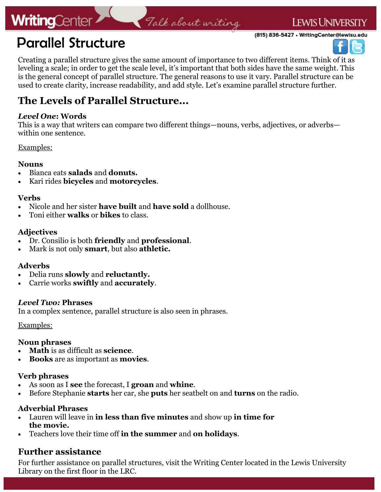## **WritingCenter**

**LEWIS UNIVERSITY** 

(815) 836-5427 • WritingCenter@lewisu.edu





Creating a parallel structure gives the same amount of importance to two different items. Think of it as leveling a scale; in order to get the scale level, it's important that both sides have the same weight. This is the general concept of parallel structure. The general reasons to use it vary. Parallel structure can be used to create clarity, increase readability, and add style. Let's examine parallel structure further.

Falk about writing

### **The Levels of Parallel Structure...**

### *Level One***: Words**

This is a way that writers can compare two different things—nouns, verbs, adjectives, or adverbs within one sentence.

Examples:

### **Nouns**

- Bianca eats **salads** and **donuts.**
- Kari rides **bicycles** and **motorcycles**.

### **Verbs**

- Nicole and her sister **have built** and **have sold** a dollhouse.
- Toni either **walks** or **bikes** to class.

### **Adjectives**

- Dr. Consilio is both **friendly** and **professional**.
- Mark is not only **smart**, but also **athletic.**

### **Adverbs**

- Delia runs **slowly** and **reluctantly.**
- Carrie works **swiftly** and **accurately**.

### *Level Two:* **Phrases**

In a complex sentence, parallel structure is also seen in phrases.

### Examples:

### **Noun phrases**

- **Math** is as difficult as **science**.
- **Books** are as important as **movies**.

### **Verb phrases**

- As soon as I **see** the forecast, I **groan** and **whine**.
- Before Stephanie **starts** her car, she **puts** her seatbelt on and **turns** on the radio.

### **Adverbial Phrases**

- Lauren will leave in **in less than five minutes** and show up **in time for the movie.**
- Teachers love their time off **in the summer** and **on holidays**.

### **Further assistance**

For further assistance on parallel structures, visit the Writing Center located in the Lewis University Library on the first floor in the LRC.